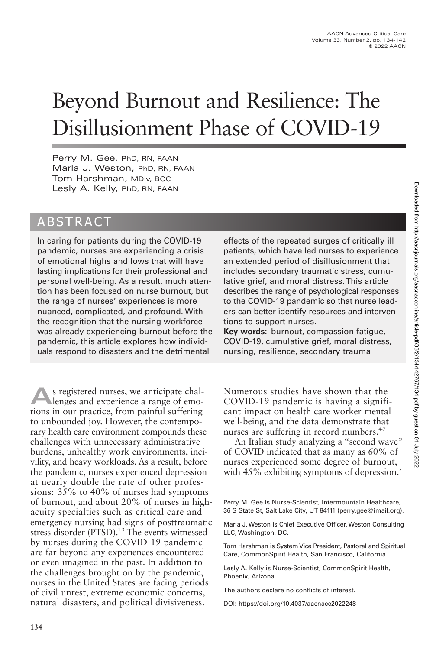# Beyond Burnout and Resilience: The Disillusionment Phase of COVID-19

Perry M. Gee, PhD, RN, FAAN Marla J. Weston, PhD, RN, FAAN Tom Harshman, MDiv, BCC Lesly A. Kelly, PhD, RN, FAAN

# ABSTRACT

In caring for patients during the COVID-19 pandemic, nurses are experiencing a crisis of emotional highs and lows that will have lasting implications for their professional and personal well-being. As a result, much attention has been focused on nurse burnout, but the range of nurses' experiences is more nuanced, complicated, and profound. With the recognition that the nursing workforce was already experiencing burnout before the pandemic, this article explores how individuals respond to disasters and the detrimental

**A**s registered nurses, we anticipate chal-<br>lenges and experience a range of emotions in our practice, from painful suffering to unbounded joy. However, the contemporary health care environment compounds these challenges with unnecessary administrative burdens, unhealthy work environments, incivility, and heavy workloads. As a result, before the pandemic, nurses experienced depression at nearly double the rate of other professions: 35% to 40% of nurses had symptoms of burnout, and about 20% of nurses in highacuity specialties such as critical care and emergency nursing had signs of posttraumatic stress disorder (PTSD).<sup>1-3</sup> The events witnessed by nurses during the COVID-19 pandemic are far beyond any experiences encountered or even imagined in the past. In addition to the challenges brought on by the pandemic, nurses in the United States are facing periods of civil unrest, extreme economic concerns, natural disasters, and political divisiveness.

effects of the repeated surges of critically ill patients, which have led nurses to experience an extended period of disillusionment that includes secondary traumatic stress, cumulative grief, and moral distress. This article describes the range of psychological responses to the COVID-19 pandemic so that nurse leaders can better identify resources and interventions to support nurses.

**Key words:** burnout, compassion fatigue, COVID-19, cumulative grief, moral distress, nursing, resilience, secondary trauma

Numerous studies have shown that the COVID-19 pandemic is having a significant impact on health care worker mental well-being, and the data demonstrate that nurses are suffering in record numbers.<sup>4-7</sup>

An Italian study analyzing a "second wave" of COVID indicated that as many as 60% of nurses experienced some degree of burnout, with 45% exhibiting symptoms of depression.<sup>8</sup>

Perry M. Gee is Nurse-Scientist, Intermountain Healthcare, 36 S State St, Salt Lake City, UT 84111 (perry.gee@imail.org).

Marla J. Weston is Chief Executive Officer, Weston Consulting LLC, Washington, DC.

Tom Harshman is System Vice President, Pastoral and Spiritual Care, CommonSpirit Health, San Francisco, California.

Lesly A. Kelly is Nurse-Scientist, CommonSpirit Health, Phoenix, Arizona.

The authors declare no conflicts of interest.

DOI: https://doi.org/10.4037/aacnacc2022248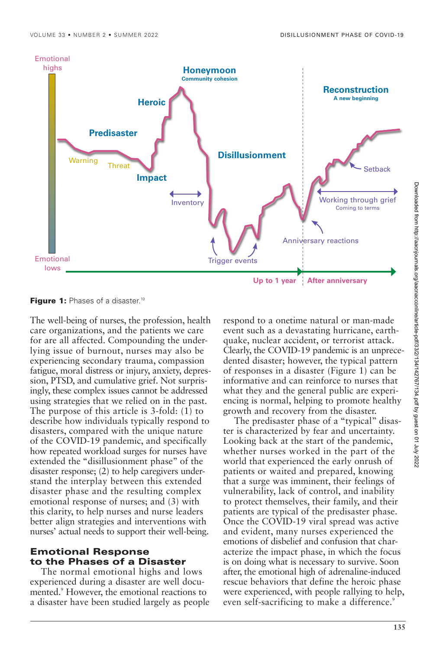

**Figure 1:** Phases of a disaster.<sup>10</sup>

The well-being of nurses, the profession, health care organizations, and the patients we care for are all affected. Compounding the underlying issue of burnout, nurses may also be experiencing secondary trauma, compassion fatigue, moral distress or injury, anxiety, depression, PTSD, and cumulative grief. Not surprisingly, these complex issues cannot be addressed using strategies that we relied on in the past. The purpose of this article is 3-fold: (1) to describe how individuals typically respond to disasters, compared with the unique nature of the COVID-19 pandemic, and specifically how repeated workload surges for nurses have extended the "disillusionment phase" of the disaster response; (2) to help caregivers understand the interplay between this extended disaster phase and the resulting complex emotional response of nurses; and (3) with this clarity, to help nurses and nurse leaders better align strategies and interventions with nurses' actual needs to support their well-being.

# **Emotional Response to the Phases of a Disaster**

The normal emotional highs and lows experienced during a disaster are well documented.9 However, the emotional reactions to a disaster have been studied largely as people respond to a onetime natural or man-made event such as a devastating hurricane, earthquake, nuclear accident, or terrorist attack. Clearly, the COVID-19 pandemic is an unprecedented disaster; however, the typical pattern of responses in a disaster (Figure 1) can be informative and can reinforce to nurses that what they and the general public are experiencing is normal, helping to promote healthy growth and recovery from the disaster.

The predisaster phase of a "typical" disaster is characterized by fear and uncertainty. Looking back at the start of the pandemic, whether nurses worked in the part of the world that experienced the early onrush of patients or waited and prepared, knowing that a surge was imminent, their feelings of vulnerability, lack of control, and inability to protect themselves, their family, and their patients are typical of the predisaster phase. Once the COVID-19 viral spread was active and evident, many nurses experienced the emotions of disbelief and confusion that characterize the impact phase, in which the focus is on doing what is necessary to survive. Soon after, the emotional high of adrenaline-induced rescue behaviors that define the heroic phase were experienced, with people rallying to help, even self-sacrificing to make a difference.<sup>9</sup>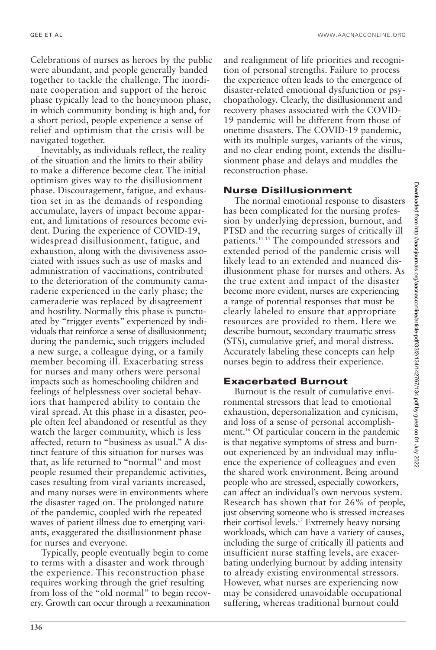Celebrations of nurses as heroes by the public were abundant, and people generally banded together to tackle the challenge. The inordinate cooperation and support of the heroic phase typically lead to the honeymoon phase, in which community bonding is high and, for a short period, people experience a sense of relief and optimism that the crisis will be navigated together.

Inevitably, as individuals reflect, the reality of the situation and the limits to their ability to make a difference become clear. The initial optimism gives way to the disillusionment phase. Discouragement, fatigue, and exhaustion set in as the demands of responding accumulate, layers of impact become apparent, and limitations of resources become evident. During the experience of COVID-19, widespread disillusionment, fatigue, and exhaustion, along with the divisiveness associated with issues such as use of masks and administration of vaccinations, contributed to the deterioration of the community camaraderie experienced in the early phase; the cameraderie was replaced by disagreement and hostility. Normally this phase is punctuated by "trigger events" experienced by individuals that reinforce a sense of disillusionment; during the pandemic, such triggers included a new surge, a colleague dying, or a family member becoming ill. Exacerbating stress for nurses and many others were personal impacts such as homeschooling children and feelings of helplessness over societal behaviors that hampered ability to contain the viral spread. At this phase in a disaster, people often feel abandoned or resentful as they watch the larger community, which is less affected, return to "business as usual." A distinct feature of this situation for nurses was that, as life returned to "normal" and most people resumed their prepandemic activities, cases resulting from viral variants increased, and many nurses were in environments where the disaster raged on. The prolonged nature of the pandemic, coupled with the repeated waves of patient illness due to emerging variants, exaggerated the disillusionment phase for nurses and everyone.

Typically, people eventually begin to come to terms with a disaster and work through the experience. This reconstruction phase requires working through the grief resulting from loss of the "old normal" to begin recovery. Growth can occur through a reexamination

and realignment of life priorities and recognition of personal strengths. Failure to process the experience often leads to the emergence of disaster-related emotional dysfunction or psychopathology. Clearly, the disillusionment and recovery phases associated with the COVID-19 pandemic will be different from those of onetime disasters. The COVID-19 pandemic, with its multiple surges, variants of the virus, and no clear ending point, extends the disillusionment phase and delays and muddles the reconstruction phase.

#### **Nurse Disillusionment**

The normal emotional response to disasters has been complicated for the nursing profession by underlying depression, burnout, and PTSD and the recurring surges of critically ill patients.11-15 The compounded stressors and extended period of the pandemic crisis will likely lead to an extended and nuanced disillusionment phase for nurses and others. As the true extent and impact of the disaster become more evident, nurses are experiencing a range of potential responses that must be clearly labeled to ensure that appropriate resources are provided to them. Here we describe burnout, secondary traumatic stress (STS), cumulative grief, and moral distress. Accurately labeling these concepts can help nurses begin to address their experience.

#### **Exacerbated Burnout**

Burnout is the result of cumulative environmental stressors that lead to emotional exhaustion, depersonalization and cynicism, and loss of a sense of personal accomplishment.16 Of particular concern in the pandemic is that negative symptoms of stress and burnout experienced by an individual may influence the experience of colleagues and even the shared work environment. Being around people who are stressed, especially coworkers, can affect an individual's own nervous system. Research has shown that for 26% of people, just observing someone who is stressed increases their cortisol levels.17 Extremely heavy nursing workloads, which can have a variety of causes, including the surge of critically ill patients and insufficient nurse staffing levels, are exacerbating underlying burnout by adding intensity to already existing environmental stressors. However, what nurses are experiencing now may be considered unavoidable occupational suffering, whereas traditional burnout could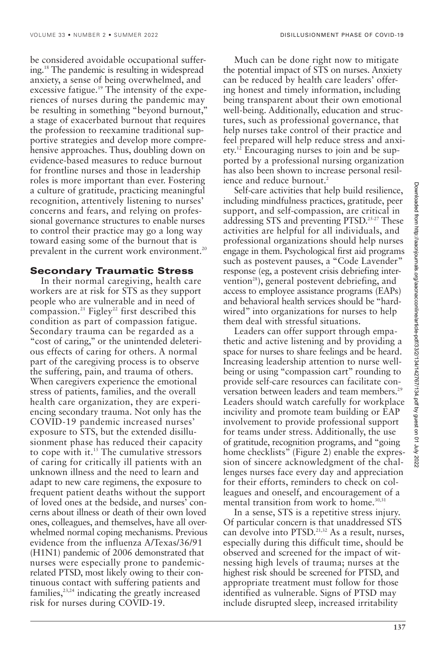be considered avoidable occupational suffering.18 The pandemic is resulting in widespread anxiety, a sense of being overwhelmed, and excessive fatigue.<sup>19</sup> The intensity of the experiences of nurses during the pandemic may be resulting in something "beyond burnout," a stage of exacerbated burnout that requires the profession to reexamine traditional supportive strategies and develop more comprehensive approaches. Thus, doubling down on evidence-based measures to reduce burnout for frontline nurses and those in leadership roles is more important than ever. Fostering a culture of gratitude, practicing meaningful recognition, attentively listening to nurses' concerns and fears, and relying on professional governance structures to enable nurses to control their practice may go a long way toward easing some of the burnout that is prevalent in the current work environment.<sup>20</sup>

## **Secondary Traumatic Stress**

In their normal caregiving, health care workers are at risk for STS as they support people who are vulnerable and in need of compassion.<sup>21</sup> Figley<sup>22</sup> first described this condition as part of compassion fatigue. Secondary trauma can be regarded as a "cost of caring," or the unintended deleterious effects of caring for others. A normal part of the caregiving process is to observe the suffering, pain, and trauma of others. When caregivers experience the emotional stress of patients, families, and the overall health care organization, they are experiencing secondary trauma. Not only has the COVID-19 pandemic increased nurses' exposure to STS, but the extended disillusionment phase has reduced their capacity to cope with it.15 The cumulative stressors of caring for critically ill patients with an unknown illness and the need to learn and adapt to new care regimens, the exposure to frequent patient deaths without the support of loved ones at the bedside, and nurses' concerns about illness or death of their own loved ones, colleagues, and themselves, have all overwhelmed normal coping mechanisms. Previous evidence from the influenza A/Texas/36/91 (H1N1) pandemic of 2006 demonstrated that nurses were especially prone to pandemicrelated PTSD, most likely owing to their continuous contact with suffering patients and families, $23,24$  indicating the greatly increased risk for nurses during COVID-19.

Much can be done right now to mitigate the potential impact of STS on nurses. Anxiety can be reduced by health care leaders' offering honest and timely information, including being transparent about their own emotional well-being. Additionally, education and structures, such as professional governance, that help nurses take control of their practice and feel prepared will help reduce stress and anxiety.12 Encouraging nurses to join and be supported by a professional nursing organization has also been shown to increase personal resilience and reduce burnout.<sup>2</sup>

Self-care activities that help build resilience, including mindfulness practices, gratitude, peer support, and self-compassion, are critical in addressing STS and preventing PTSD.25-27 These activities are helpful for all individuals, and professional organizations should help nurses engage in them. Psychological first aid programs such as postevent pauses, a "Code Lavender" response (eg, a postevent crisis debriefing intervention<sup>28</sup>), general postevent debriefing, and access to employee assistance programs (EAPs) and behavioral health services should be "hardwired" into organizations for nurses to help them deal with stressful situations.

Leaders can offer support through empathetic and active listening and by providing a space for nurses to share feelings and be heard. Increasing leadership attention to nurse wellbeing or using "compassion cart" rounding to provide self-care resources can facilitate conversation between leaders and team members.<sup>29</sup> Leaders should watch carefully for workplace incivility and promote team building or EAP involvement to provide professional support for teams under stress. Additionally, the use of gratitude, recognition programs, and "going home checklists" (Figure 2) enable the expression of sincere acknowledgment of the challenges nurses face every day and appreciation for their efforts, reminders to check on colleagues and oneself, and encouragement of a mental transition from work to home. $30,31$ 

In a sense, STS is a repetitive stress injury. Of particular concern is that unaddressed STS can devolve into PTSD.<sup>21,32</sup> As a result, nurses, especially during this difficult time, should be observed and screened for the impact of witnessing high levels of trauma; nurses at the highest risk should be screened for PTSD, and appropriate treatment must follow for those identified as vulnerable. Signs of PTSD may include disrupted sleep, increased irritability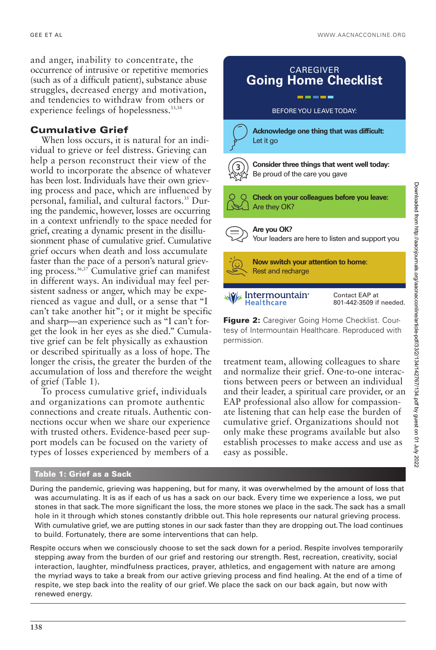and anger, inability to concentrate, the occurrence of intrusive or repetitive memories (such as of a difficult patient), substance abuse struggles, decreased energy and motivation, and tendencies to withdraw from others or experience feelings of hopelessness.<sup>33,34</sup>

# **Cumulative Grief**

When loss occurs, it is natural for an individual to grieve or feel distress. Grieving can help a person reconstruct their view of the world to incorporate the absence of whatever has been lost. Individuals have their own grieving process and pace, which are influenced by personal, familial, and cultural factors.35 During the pandemic, however, losses are occurring in a context unfriendly to the space needed for grief, creating a dynamic present in the disillusionment phase of cumulative grief. Cumulative grief occurs when death and loss accumulate faster than the pace of a person's natural grieving process.36,37 Cumulative grief can manifest in different ways. An individual may feel persistent sadness or anger, which may be experienced as vague and dull, or a sense that "I can't take another hit"; or it might be specific and sharp—an experience such as "I can't forget the look in her eyes as she died." Cumulative grief can be felt physically as exhaustion or described spiritually as a loss of hope. The longer the crisis, the greater the burden of the accumulation of loss and therefore the weight of grief (Table 1).

To process cumulative grief, individuals and organizations can promote authentic connections and create rituals. Authentic connections occur when we share our experience with trusted others. Evidence-based peer support models can be focused on the variety of types of losses experienced by members of a



treatment team, allowing colleagues to share and normalize their grief. One-to-one interactions between peers or between an individual and their leader, a spiritual care provider, or an EAP professional also allow for compassionate listening that can help ease the burden of cumulative grief. Organizations should not only make these programs available but also establish processes to make access and use as easy as possible.

#### **Table 1: Grief as a Sack**

During the pandemic, grieving was happening, but for many, it was overwhelmed by the amount of loss that was accumulating. It is as if each of us has a sack on our back. Every time we experience a loss, we put stones in that sack. The more significant the loss, the more stones we place in the sack. The sack has a small hole in it through which stones constantly dribble out. This hole represents our natural grieving process. With cumulative grief, we are putting stones in our sack faster than they are dropping out. The load continues to build. Fortunately, there are some interventions that can help.

Respite occurs when we consciously choose to set the sack down for a period. Respite involves temporarily stepping away from the burden of our grief and restoring our strength. Rest, recreation, creativity, social interaction, laughter, mindfulness practices, prayer, athletics, and engagement with nature are among the myriad ways to take a break from our active grieving process and find healing. At the end of a time of respite, we step back into the reality of our grief. We place the sack on our back again, but now with renewed energy.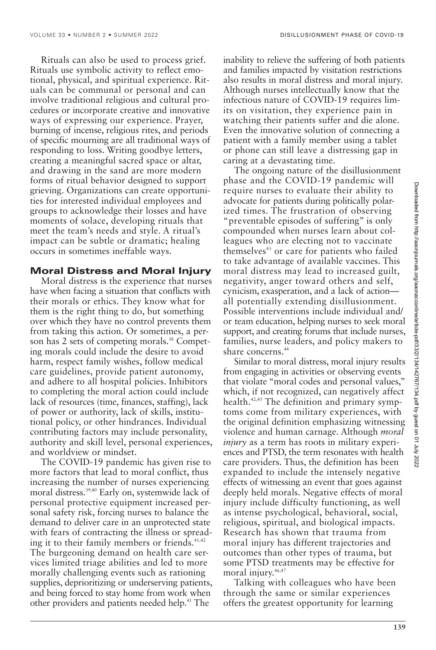Rituals can also be used to process grief. Rituals use symbolic activity to reflect emotional, physical, and spiritual experience. Rituals can be communal or personal and can involve traditional religious and cultural procedures or incorporate creative and innovative ways of expressing our experience. Prayer, burning of incense, religious rites, and periods of specific mourning are all traditional ways of responding to loss. Writing goodbye letters, creating a meaningful sacred space or altar, and drawing in the sand are more modern forms of ritual behavior designed to support grieving. Organizations can create opportunities for interested individual employees and groups to acknowledge their losses and have moments of solace, developing rituals that meet the team's needs and style. A ritual's impact can be subtle or dramatic; healing occurs in sometimes ineffable ways.

### **Moral Distress and Moral Injury**

Moral distress is the experience that nurses have when facing a situation that conflicts with their morals or ethics. They know what for them is the right thing to do, but something over which they have no control prevents them from taking this action. Or sometimes, a person has 2 sets of competing morals.<sup>38</sup> Competing morals could include the desire to avoid harm, respect family wishes, follow medical care guidelines, provide patient autonomy, and adhere to all hospital policies. Inhibitors to completing the moral action could include lack of resources (time, finances, staffing), lack of power or authority, lack of skills, institutional policy, or other hindrances. Individual contributing factors may include personality, authority and skill level, personal experiences, and worldview or mindset.

The COVID-19 pandemic has given rise to more factors that lead to moral conflict, thus increasing the number of nurses experiencing moral distress.<sup>39,40</sup> Early on, systemwide lack of personal protective equipment increased personal safety risk, forcing nurses to balance the demand to deliver care in an unprotected state with fears of contracting the illness or spreading it to their family members or friends.<sup>41,42</sup> The burgeoning demand on health care services limited triage abilities and led to more morally challenging events such as rationing supplies, deprioritizing or underserving patients, and being forced to stay home from work when other providers and patients needed help.<sup>41</sup> The

inability to relieve the suffering of both patients and families impacted by visitation restrictions also results in moral distress and moral injury. Although nurses intellectually know that the infectious nature of COVID-19 requires limits on visitation, they experience pain in watching their patients suffer and die alone. Even the innovative solution of connecting a patient with a family member using a tablet or phone can still leave a distressing gap in caring at a devastating time.

The ongoing nature of the disillusionment phase and the COVID-19 pandemic will require nurses to evaluate their ability to advocate for patients during politically polarized times. The frustration of observing "preventable episodes of suffering" is only compounded when nurses learn about colleagues who are electing not to vaccinate themselves<sup>43</sup> or care for patients who failed to take advantage of available vaccines. This moral distress may lead to increased guilt, negativity, anger toward others and self, cynicism, exasperation, and a lack of action all potentially extending disillusionment. Possible interventions include individual and/ or team education, helping nurses to seek moral support, and creating forums that include nurses, families, nurse leaders, and policy makers to share concerns.<sup>44</sup>

Similar to moral distress, moral injury results from engaging in activities or observing events that violate "moral codes and personal values," which, if not recognized, can negatively affect health.<sup>42,45</sup> The definition and primary symptoms come from military experiences, with the original definition emphasizing witnessing violence and human carnage. Although *moral injury* as a term has roots in military experiences and PTSD, the term resonates with health care providers. Thus, the definition has been expanded to include the intensely negative effects of witnessing an event that goes against deeply held morals. Negative effects of moral injury include difficulty functioning, as well as intense psychological, behavioral, social, religious, spiritual, and biological impacts. Research has shown that trauma from moral injury has different trajectories and outcomes than other types of trauma, but some PTSD treatments may be effective for moral injury.<sup>46,47</sup>

Talking with colleagues who have been through the same or similar experiences offers the greatest opportunity for learning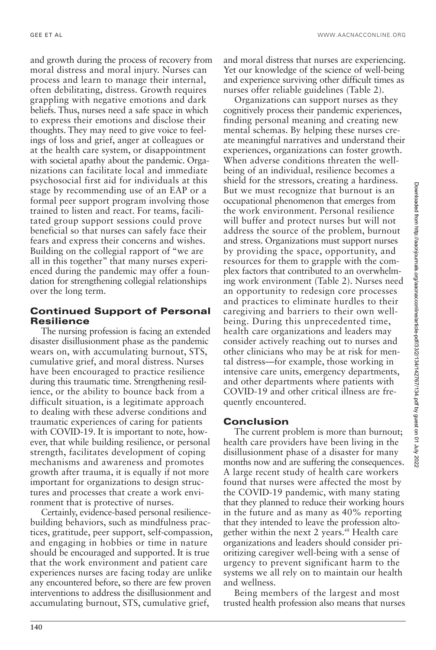and growth during the process of recovery from moral distress and moral injury. Nurses can process and learn to manage their internal, often debilitating, distress. Growth requires grappling with negative emotions and dark beliefs. Thus, nurses need a safe space in which to express their emotions and disclose their thoughts. They may need to give voice to feelings of loss and grief, anger at colleagues or at the health care system, or disappointment with societal apathy about the pandemic. Organizations can facilitate local and immediate psychosocial first aid for individuals at this stage by recommending use of an EAP or a formal peer support program involving those trained to listen and react. For teams, facilitated group support sessions could prove beneficial so that nurses can safely face their fears and express their concerns and wishes. Building on the collegial rapport of "we are all in this together" that many nurses experienced during the pandemic may offer a foundation for strengthening collegial relationships over the long term.

# **Continued Support of Personal Resilience**

The nursing profession is facing an extended disaster disillusionment phase as the pandemic wears on, with accumulating burnout, STS, cumulative grief, and moral distress. Nurses have been encouraged to practice resilience during this traumatic time. Strengthening resilience, or the ability to bounce back from a difficult situation, is a legitimate approach to dealing with these adverse conditions and traumatic experiences of caring for patients with COVID-19. It is important to note, however, that while building resilience, or personal strength, facilitates development of coping mechanisms and awareness and promotes growth after trauma, it is equally if not more important for organizations to design structures and processes that create a work environment that is protective of nurses.

Certainly, evidence-based personal resiliencebuilding behaviors, such as mindfulness practices, gratitude, peer support, self-compassion, and engaging in hobbies or time in nature should be encouraged and supported. It is true that the work environment and patient care experiences nurses are facing today are unlike any encountered before, so there are few proven interventions to address the disillusionment and accumulating burnout, STS, cumulative grief,

and moral distress that nurses are experiencing. Yet our knowledge of the science of well-being and experience surviving other difficult times as nurses offer reliable guidelines (Table 2).

Organizations can support nurses as they cognitively process their pandemic experiences, finding personal meaning and creating new mental schemas. By helping these nurses create meaningful narratives and understand their experiences, organizations can foster growth. When adverse conditions threaten the wellbeing of an individual, resilience becomes a shield for the stressors, creating a hardiness. But we must recognize that burnout is an occupational phenomenon that emerges from the work environment. Personal resilience will buffer and protect nurses but will not address the source of the problem, burnout and stress. Organizations must support nurses by providing the space, opportunity, and resources for them to grapple with the complex factors that contributed to an overwhelming work environment (Table 2). Nurses need an opportunity to redesign core processes and practices to eliminate hurdles to their caregiving and barriers to their own wellbeing. During this unprecedented time, health care organizations and leaders may consider actively reaching out to nurses and other clinicians who may be at risk for mental distress—for example, those working in intensive care units, emergency departments, and other departments where patients with COVID-19 and other critical illness are frequently encountered.

# **Conclusion**

The current problem is more than burnout; health care providers have been living in the disillusionment phase of a disaster for many months now and are suffering the consequences. A large recent study of health care workers found that nurses were affected the most by the COVID-19 pandemic, with many stating that they planned to reduce their working hours in the future and as many as 40% reporting that they intended to leave the profession altogether within the next 2 years.<sup>48</sup> Health care organizations and leaders should consider prioritizing caregiver well-being with a sense of urgency to prevent significant harm to the systems we all rely on to maintain our health and wellness.

Being members of the largest and most trusted health profession also means that nurses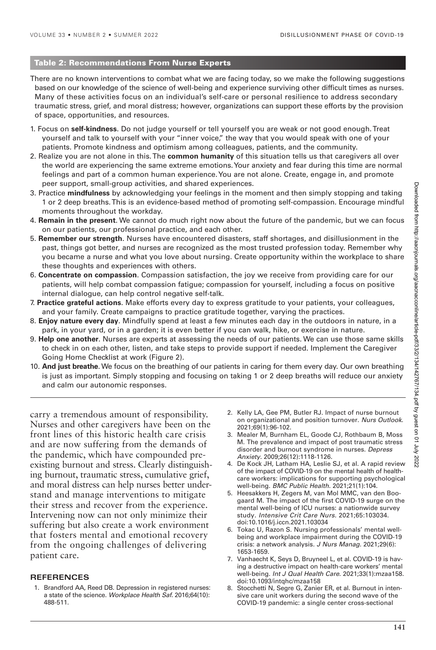#### **Table 2: Recommendations From Nurse Experts**

There are no known interventions to combat what we are facing today, so we make the following suggestions based on our knowledge of the science of well-being and experience surviving other difficult times as nurses. Many of these activities focus on an individual's self-care or personal resilience to address secondary traumatic stress, grief, and moral distress; however, organizations can support these efforts by the provision of space, opportunities, and resources.

- 1. Focus on **self-kindness**. Do not judge yourself or tell yourself you are weak or not good enough. Treat yourself and talk to yourself with your "inner voice," the way that you would speak with one of your patients. Promote kindness and optimism among colleagues, patients, and the community.
- 2. Realize you are not alone in this. The **common humanity** of this situation tells us that caregivers all over the world are experiencing the same extreme emotions. Your anxiety and fear during this time are normal feelings and part of a common human experience. You are not alone. Create, engage in, and promote peer support, small-group activities, and shared experiences.
- 3. Practice **mindfulness** by acknowledging your feelings in the moment and then simply stopping and taking 1 or 2 deep breaths. This is an evidence-based method of promoting self-compassion. Encourage mindful moments throughout the workday.
- 4. **Remain in the present**. We cannot do much right now about the future of the pandemic, but we can focus on our patients, our professional practice, and each other.
- 5. **Remember our strength**. Nurses have encountered disasters, staff shortages, and disillusionment in the past, things got better, and nurses are recognized as the most trusted profession today. Remember why you became a nurse and what you love about nursing. Create opportunity within the workplace to share these thoughts and experiences with others.
- 6. **Concentrate on compassion**. Compassion satisfaction, the joy we receive from providing care for our patients, will help combat compassion fatigue; compassion for yourself, including a focus on positive internal dialogue, can help control negative self-talk.
- 7. **Practice grateful actions**. Make efforts every day to express gratitude to your patients, your colleagues, and your family. Create campaigns to practice gratitude together, varying the practices.
- 8. **Enjoy nature every day**. Mindfully spend at least a few minutes each day in the outdoors in nature, in a park, in your yard, or in a garden; it is even better if you can walk, hike, or exercise in nature.
- 9. **Help one another**. Nurses are experts at assessing the needs of our patients. We can use those same skills to check in on each other, listen, and take steps to provide support if needed. Implement the Caregiver Going Home Checklist at work (Figure 2).
- 10. **And just breathe**. We focus on the breathing of our patients in caring for them every day. Our own breathing is just as important. Simply stopping and focusing on taking 1 or 2 deep breaths will reduce our anxiety and calm our autonomic responses.

carry a tremendous amount of responsibility. Nurses and other caregivers have been on the front lines of this historic health care crisis and are now suffering from the demands of the pandemic, which have compounded preexisting burnout and stress. Clearly distinguishing burnout, traumatic stress, cumulative grief, and moral distress can help nurses better understand and manage interventions to mitigate their stress and recover from the experience. Intervening now can not only minimize their suffering but also create a work environment that fosters mental and emotional recovery from the ongoing challenges of delivering patient care.

#### **REFERENCES**

1. Brandford AA, Reed DB. Depression in registered nurses: a state of the science. Workplace Health Saf. 2016;64(10): 488-511.

- 2. Kelly LA, Gee PM, Butler RJ. Impact of nurse burnout on organizational and position turnover. Nurs Outlook. 2021;69(1):96-102.
- 3. Mealer M, Burnham EL, Goode CJ, Rothbaum B, Moss M. The prevalence and impact of post traumatic stress disorder and burnout syndrome in nurses. Depress Anxiety. 2009;26(12):1118-1126.
- 4. De Kock JH, Latham HA, Leslie SJ, et al. A rapid review of the impact of COVID-19 on the mental health of healthcare workers: implications for supporting psychological well-being. BMC Public Health. 2021;21(1):104.
- 5. Heesakkers H, Zegers M, van Mol MMC, van den Boogaard M. The impact of the first COVID-19 surge on the mental well-being of ICU nurses: a nationwide survey study. Intensive Crit Care Nurs. 2021;65:103034. doi:10.1016/j.iccn.2021.103034
- 6. Tokac U, Razon S. Nursing professionals' mental wellbeing and workplace impairment during the COVID-19 crisis: a network analysis. J Nurs Manag. 2021;29(6): 1653-1659.
- 7. Vanhaecht K, Seys D, Bruyneel L, et al. COVID-19 is having a destructive impact on health-care workers' mental well-being. Int J Qual Health Care. 2021;33(1):mzaa158. doi:10.1093/intqhc/mzaa158
- 8. Stocchetti N, Segre G, Zanier ER, et al. Burnout in intensive care unit workers during the second wave of the COVID-19 pandemic: a single center cross-sectional